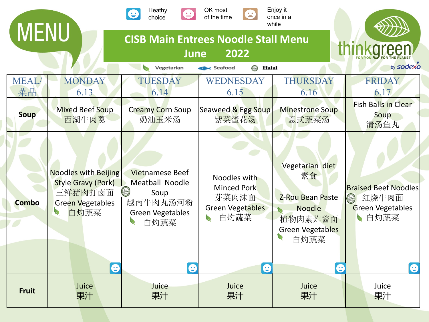| <b>MENU</b>  |                                                                                                                                  | Heathy<br>choice                                                                                                           | OK most<br>8<br>of the time                                                                   | Enjoy it<br>once in a<br>while                                                                                                    |                                                                                                |
|--------------|----------------------------------------------------------------------------------------------------------------------------------|----------------------------------------------------------------------------------------------------------------------------|-----------------------------------------------------------------------------------------------|-----------------------------------------------------------------------------------------------------------------------------------|------------------------------------------------------------------------------------------------|
|              |                                                                                                                                  | <b>CISB Main Entrees Noodle Stall Menu</b><br><b>June</b>                                                                  | thinkareen                                                                                    |                                                                                                                                   |                                                                                                |
| <b>MEAL</b>  | <b>MONDAY</b>                                                                                                                    | Vegetarian<br><b>TUESDAY</b>                                                                                               | <b>B</b> Halal<br>Seafood<br>WEDNESDAY                                                        | THURSDAY                                                                                                                          | by sodexo<br><b>FRIDAY</b>                                                                     |
| 菜品           | 6.13                                                                                                                             | 6.14                                                                                                                       | 6.15                                                                                          | 6.16                                                                                                                              | 6.17                                                                                           |
| Soup         | <b>Mixed Beef Soup</b><br>西湖牛肉羹                                                                                                  | <b>Creamy Corn Soup</b><br>奶油玉米汤                                                                                           | Seaweed & Egg Soup<br>紫菜蛋花汤                                                                   | <b>Minestrone Soup</b><br>意式蔬菜汤                                                                                                   | <b>Fish Balls in Clear</b><br>Soup<br>清汤鱼丸                                                     |
| <b>Combo</b> | <b>Noodles with Beijing</b><br><b>Style Gravy (Pork)</b><br>三鲜猪肉打卤面<br><b>Green Vegetables</b><br>$\bullet$<br>白灼蔬菜<br>$\bullet$ | <b>Vietnamese Beef</b><br><b>Meatball Noodle</b><br>$(\omega)$<br>Soup<br>越南牛肉丸汤河粉<br><b>Green Vegetables</b><br>白灼蔬菜<br>e | Noodles with<br><b>Minced Pork</b><br>芽菜肉沫面<br><b>Green Vegetables</b><br>白灼蔬菜<br>$\mathbf e$ | Vegetarian diet<br>素食<br><b>Z-Rou Bean Paste</b><br><b>Noodle</b><br>植物肉素炸酱面<br>Green Vegetables<br>白灼蔬菜<br>$\boldsymbol{\Theta}$ | <b>Braised Beef Noodles</b><br>红烧牛肉面<br>$\circledcirc$<br><b>Green Vegetables</b><br>自灼蔬菜<br>e |
| <b>Fruit</b> | Juice<br>果汁                                                                                                                      | Juice<br>果汁                                                                                                                | Juice<br>果汁                                                                                   | Juice<br>果汁                                                                                                                       | Juice<br>果汁                                                                                    |